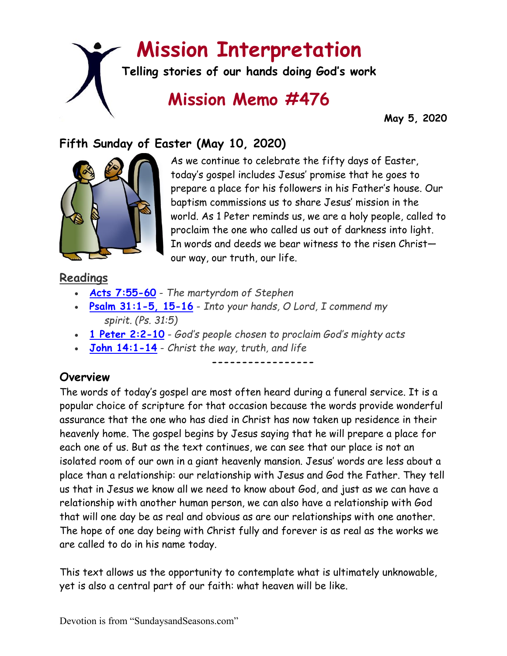# **Mission Interpretation**

**Telling stories of our hands doing God's work**

## **Mission Memo #476**

 **May 5, 2020**

## **Fifth Sunday of Easter (May 10, 2020)**



As we continue to celebrate the fifty days of Easter, today's gospel includes Jesus' promise that he goes to prepare a place for his followers in his Father's house. Our baptism commissions us to share Jesus' mission in the world. As 1 Peter reminds us, we are a holy people, called to proclaim the one who called us out of darkness into light. In words and deeds we bear witness to the risen Christ our way, our truth, our life.

## **Readings**

- **[Acts 7:55-60](https://members.sundaysandseasons.com/)** *The martyrdom of Stephen*
- **[Psalm 31:1-5, 15-16](https://members.sundaysandseasons.com/)** *Into your hands, O Lord, I commend my spirit. (Ps. 31:5)*
- **[1 Peter 2:2-10](https://members.sundaysandseasons.com/)** *God's people chosen to proclaim God's mighty acts*
- **[John 14:1-14](https://members.sundaysandseasons.com/)** *Christ the way, truth, and life*

**-----------------**

## **Overview**

The words of today's gospel are most often heard during a funeral service. It is a popular choice of scripture for that occasion because the words provide wonderful assurance that the one who has died in Christ has now taken up residence in their heavenly home. The gospel begins by Jesus saying that he will prepare a place for each one of us. But as the text continues, we can see that our place is not an isolated room of our own in a giant heavenly mansion. Jesus' words are less about a place than a relationship: our relationship with Jesus and God the Father. They tell us that in Jesus we know all we need to know about God, and just as we can have a relationship with another human person, we can also have a relationship with God that will one day be as real and obvious as are our relationships with one another. The hope of one day being with Christ fully and forever is as real as the works we are called to do in his name today.

This text allows us the opportunity to contemplate what is ultimately unknowable, yet is also a central part of our faith: what heaven will be like.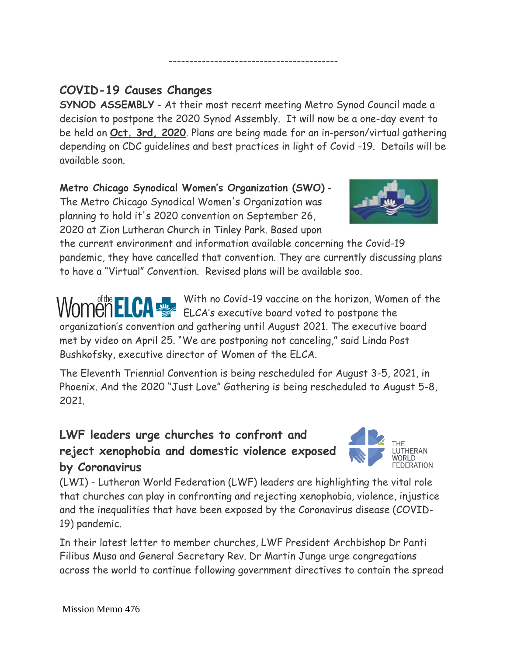## **COVID-19 Causes Changes**

**SYNOD ASSEMBLY** - At their most recent meeting Metro Synod Council made a decision to postpone the 2020 Synod Assembly. It will now be a one-day event to be held on **Oct. 3rd, 2020**. Plans are being made for an in-person/virtual gathering depending on CDC guidelines and best practices in light of Covid -19. Details will be available soon.

-----------------------------------------

#### **Metro Chicago Synodical Women's Organization (SWO)** - The Metro Chicago Synodical Women's Organization was planning to hold it's 2020 convention on September 26, 2020 at Zion Lutheran Church in Tinley Park. Based upon

the current environment and information available concerning the Covid-19 pandemic, they have cancelled that convention. They are currently discussing plans to have a "Virtual" Convention. Revised plans will be available soo.

With no Covid-19 vaccine on the horizon, Women of the WOMEN ELCA WITH NO COVID-17 VUCULE VIL HIS HOLLEY, ILLUSTRATED organization's convention and gathering until August 2021. The executive board met by video on April 25. "We are postponing not canceling," said Linda Post Bushkofsky, executive director of Women of the ELCA.

The Eleventh Triennial Convention is being rescheduled for August 3-5, 2021, in Phoenix. And the 2020 "Just Love" Gathering is being rescheduled to August 5-8, 2021.

## **LWF leaders urge churches to confront and reject xenophobia and domestic violence exposed by Coronavirus**

(LWI) - Lutheran World Federation (LWF) leaders are highlighting the vital role that churches can play in confronting and rejecting xenophobia, violence, injustice and the inequalities that have been exposed by the Coronavirus disease (COVID-19) pandemic.

In their latest letter to member churches, LWF President Archbishop Dr Panti Filibus Musa and General Secretary Rev. Dr Martin Junge urge congregations across the world to continue following government directives to contain the spread



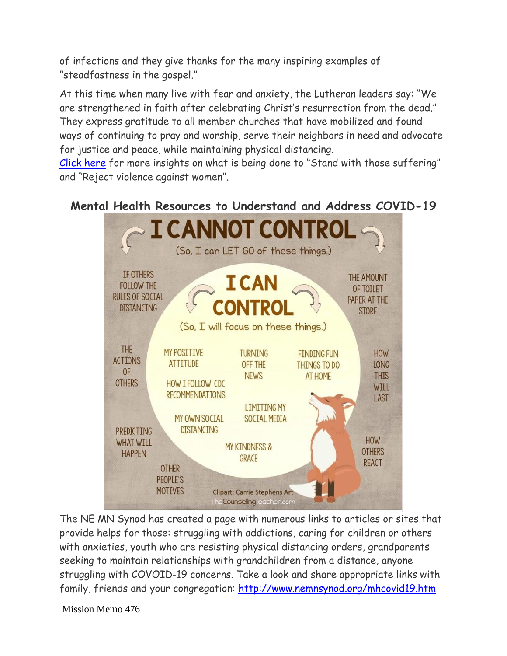of infections and they give thanks for the many inspiring examples of "steadfastness in the gospel."

At this time when many live with fear and anxiety, the Lutheran leaders say: "We are strengthened in faith after celebrating Christ's resurrection from the dead." They express gratitude to all member churches that have mobilized and found ways of continuing to pray and worship, serve their neighbors in need and advocate for justice and peace, while maintaining physical distancing.

[Click here](https://www.lutheranworld.org/news/covid-19-strengthened-faith-standing-against-injustice?ct=t(EMAIL_CAMPAIGN_20190719_COPY_01)) for more insights on what is being done to "Stand with those suffering" and "Reject violence against women".

### **Mental Health Resources to Understand and Address COVID-19**



The NE MN Synod has created a page with numerous links to articles or sites that provide helps for those: struggling with addictions, caring for children or others with anxieties, youth who are resisting physical distancing orders, grandparents seeking to maintain relationships with grandchildren from a distance, anyone struggling with COVOID-19 concerns. Take a look and share appropriate links with family, friends and your congregation:<http://www.nemnsynod.org/mhcovid19.htm>

Mission Memo 476